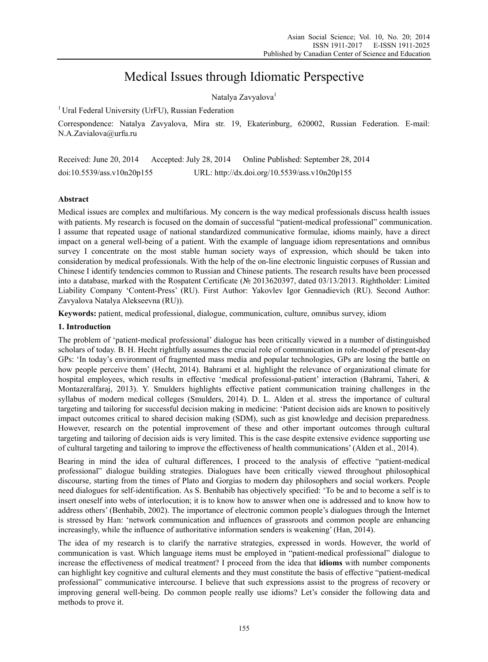# Medical Issues through Idiomatic Perspective

Natalya Zavyalova<sup>1</sup>

<sup>1</sup> Ural Federal University (UrFU), Russian Federation

Correspondence: Natalya Zavyalova, Mira str. 19, Ekaterinburg, 620002, Russian Federation. E-mail: N.A.Zavialova@urfu.ru

Received: June 20, 2014 Accepted: July 28, 2014 Online Published: September 28, 2014 doi:10.5539/ass.v10n20p155 URL: http://dx.doi.org/10.5539/ass.v10n20p155

# **Abstract**

Medical issues are complex and multifarious. My concern is the way medical professionals discuss health issues with patients. My research is focused on the domain of successful "patient-medical professional" communication. I assume that repeated usage of national standardized communicative formulae, idioms mainly, have a direct impact on a general well-being of a patient. With the example of language idiom representations and omnibus survey I concentrate on the most stable human society ways of expression, which should be taken into consideration by medical professionals. With the help of the on-line electronic linguistic corpuses of Russian and Chinese I identify tendencies common to Russian and Chinese patients. The research results have been processed into a database, marked with the Rospatent Certificate (№ 2013620397, dated 03/13/2013. Rightholder: Limited Liability Company 'Content-Press' (RU). First Author: Yakovlev Igor Gennadievich (RU). Second Author: Zavyalova Natalya Alekseevna (RU)).

**Keywords:** patient, medical professional, dialogue, communication, culture, omnibus survey, idiom

# **1. Introduction**

The problem of 'patient-medical professional' dialogue has been critically viewed in a number of distinguished scholars of today. B. H. Hecht rightfully assumes the crucial role of communication in role-model of present-day GPs: 'In today's environment of fragmented mass media and popular technologies, GPs are losing the battle on how people perceive them' (Hecht, 2014). Bahrami et al. highlight the relevance of organizational climate for hospital employees, which results in effective 'medical professional-patient' interaction (Bahrami, Taheri, & Montazeralfaraj, 2013). Y. Smulders highlights effective patient communication training challenges in the syllabus of modern medical colleges (Smulders, 2014). D. L. Alden et al. stress the importance of cultural targeting and tailoring for successful decision making in medicine: 'Patient decision aids are known to positively impact outcomes critical to shared decision making (SDM), such as gist knowledge and decision preparedness. However, research on the potential improvement of these and other important outcomes through cultural targeting and tailoring of decision aids is very limited. This is the case despite extensive evidence supporting use of cultural targeting and tailoring to improve the effectiveness of health communications' (Alden et al., 2014).

Bearing in mind the idea of cultural differences, I proceed to the analysis of effective "patient-medical professional" dialogue building strategies. Dialogues have been critically viewed throughout philosophical discourse, starting from the times of Plato and Gorgias to modern day philosophers and social workers. People need dialogues for self-identification. As S. Benhabib has objectively specified: 'To be and to become a self is to insert oneself into webs of interlocution; it is to know how to answer when one is addressed and to know how to address others' (Benhabib, 2002). The importance of electronic common people's dialogues through the Internet is stressed by Han: 'network communication and influences of grassroots and common people are enhancing increasingly, while the influence of authoritative information senders is weakening' (Han, 2014).

The idea of my research is to clarify the narrative strategies, expressed in words. However, the world of communication is vast. Which language items must be employed in "patient-medical professional" dialogue to increase the effectiveness of medical treatment? I proceed from the idea that **idioms** with number components can highlight key cognitive and cultural elements and they must constitute the basis of effective "patient-medical professional" communicative intercourse. I believe that such expressions assist to the progress of recovery or improving general well-being. Do common people really use idioms? Let's consider the following data and methods to prove it.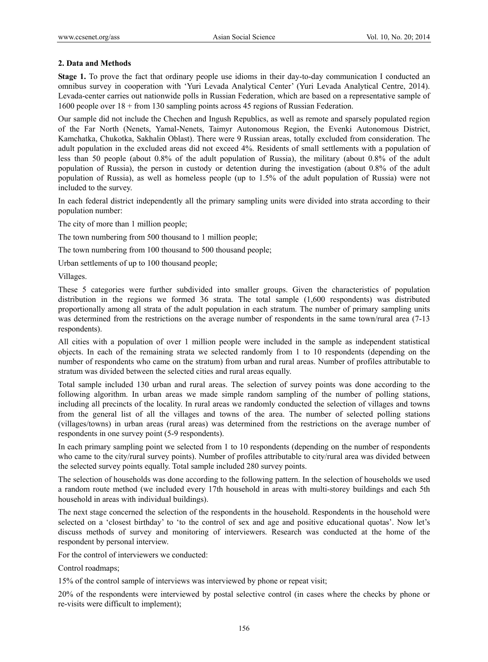# **2. Data and Methods**

**Stage 1.** To prove the fact that ordinary people use idioms in their day-to-day communication I conducted an omnibus survey in cooperation with 'Yuri Levada Analytical Center' (Yuri Levada Analytical Centre, 2014). Levada-center carries out nationwide polls in Russian Federation, which are based on a representative sample of 1600 people over 18 + from 130 sampling points across 45 regions of Russian Federation.

Our sample did not include the Chechen and Ingush Republics, as well as remote and sparsely populated region of the Far North (Nenets, Yamal-Nenets, Taimyr Autonomous Region, the Evenki Autonomous District, Kamchatka, Chukotka, Sakhalin Oblast). There were 9 Russian areas, totally excluded from consideration. The adult population in the excluded areas did not exceed 4%. Residents of small settlements with a population of less than 50 people (about 0.8% of the adult population of Russia), the military (about 0.8% of the adult population of Russia), the person in custody or detention during the investigation (about 0.8% of the adult population of Russia), as well as homeless people (up to 1.5% of the adult population of Russia) were not included to the survey.

In each federal district independently all the primary sampling units were divided into strata according to their population number:

The city of more than 1 million people;

The town numbering from 500 thousand to 1 million people;

The town numbering from 100 thousand to 500 thousand people;

Urban settlements of up to 100 thousand people;

Villages.

These 5 categories were further subdivided into smaller groups. Given the characteristics of population distribution in the regions we formed 36 strata. The total sample (1,600 respondents) was distributed proportionally among all strata of the adult population in each stratum. The number of primary sampling units was determined from the restrictions on the average number of respondents in the same town/rural area (7-13) respondents).

All cities with a population of over 1 million people were included in the sample as independent statistical objects. In each of the remaining strata we selected randomly from 1 to 10 respondents (depending on the number of respondents who came on the stratum) from urban and rural areas. Number of profiles attributable to stratum was divided between the selected cities and rural areas equally.

Total sample included 130 urban and rural areas. The selection of survey points was done according to the following algorithm. In urban areas we made simple random sampling of the number of polling stations, including all precincts of the locality. In rural areas we randomly conducted the selection of villages and towns from the general list of all the villages and towns of the area. The number of selected polling stations (villages/towns) in urban areas (rural areas) was determined from the restrictions on the average number of respondents in one survey point (5-9 respondents).

In each primary sampling point we selected from 1 to 10 respondents (depending on the number of respondents who came to the city/rural survey points). Number of profiles attributable to city/rural area was divided between the selected survey points equally. Total sample included 280 survey points.

The selection of households was done according to the following pattern. In the selection of households we used a random route method (we included every 17th household in areas with multi-storey buildings and each 5th household in areas with individual buildings).

The next stage concerned the selection of the respondents in the household. Respondents in the household were selected on a 'closest birthday' to 'to the control of sex and age and positive educational quotas'. Now let's discuss methods of survey and monitoring of interviewers. Research was conducted at the home of the respondent by personal interview.

For the control of interviewers we conducted:

Control roadmaps;

15% of the control sample of interviews was interviewed by phone or repeat visit;

20% of the respondents were interviewed by postal selective control (in cases where the checks by phone or re-visits were difficult to implement);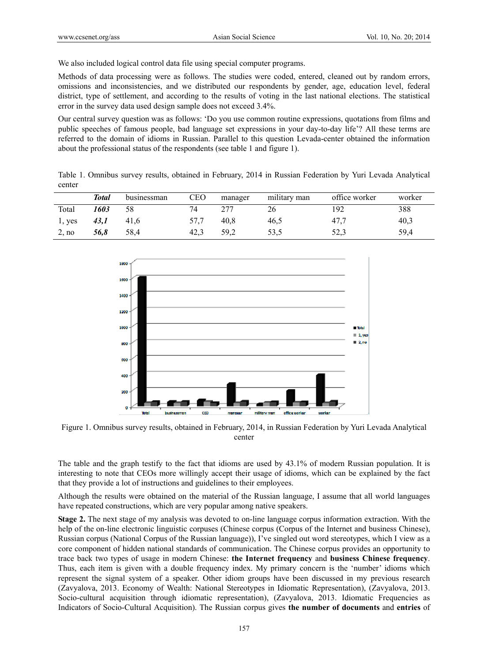We also included logical control data file using special computer programs.

Methods of data processing were as follows. The studies were coded, entered, cleaned out by random errors, omissions and inconsistencies, and we distributed our respondents by gender, age, education level, federal district, type of settlement, and according to the results of voting in the last national elections. The statistical error in the survey data used design sample does not exceed 3.4%.

Our central survey question was as follows: 'Do you use common routine expressions, quotations from films and public speeches of famous people, bad language set expressions in your day-to-day life'? All these terms are referred to the domain of idioms in Russian. Parallel to this question Levada-center obtained the information about the professional status of the respondents (see table 1 and figure 1).

Table 1. Omnibus survey results, obtained in February, 2014 in Russian Federation by Yuri Levada Analytical center

|          | <b>Total</b> | businessman | <b>CEO</b> | manager | military man | office worker | worker |
|----------|--------------|-------------|------------|---------|--------------|---------------|--------|
| Total    | 1603         | 58          | 74         | 277     | 26           | 192           | 388    |
| 1, yes   | 43,1         | 41.6        | 57,7       | 40.8    | 46.5         | 47.7          | 40,3   |
| $2$ , no | 56,8         | 58.4        | 42,3       | 59,2    | 53.5         | 52,3          | 59,4   |



Figure 1. Omnibus survey results, obtained in February, 2014, in Russian Federation by Yuri Levada Analytical center

The table and the graph testify to the fact that idioms are used by 43.1% of modern Russian population. It is interesting to note that CEOs more willingly accept their usage of idioms, which can be explained by the fact that they provide a lot of instructions and guidelines to their employees.

Although the results were obtained on the material of the Russian language, I assume that all world languages have repeated constructions, which are very popular among native speakers.

**Stage 2.** The next stage of my analysis was devoted to on-line language corpus information extraction. With the help of the on-line electronic linguistic corpuses (Chinese corpus (Corpus of the Internet and business Chinese), Russian corpus (National Corpus of the Russian language)), I've singled out word stereotypes, which I view as a core component of hidden national standards of communication. The Chinese corpus provides an opportunity to trace back two types of usage in modern Chinese: **the Internet frequency** and **business Chinese frequency**. Thus, each item is given with a double frequency index. My primary concern is the 'number' idioms which represent the signal system of a speaker. Other idiom groups have been discussed in my previous research (Zavyalova, 2013. Economy of Wealth: National Stereotypes in Idiomatic Representation), (Zavyalova, 2013. Socio-cultural acquisition through idiomatic representation), (Zavyalova, 2013. Idiomatic Frequencies as Indicators of Socio-Cultural Acquisition). The Russian corpus gives **the number of documents** and **entries** of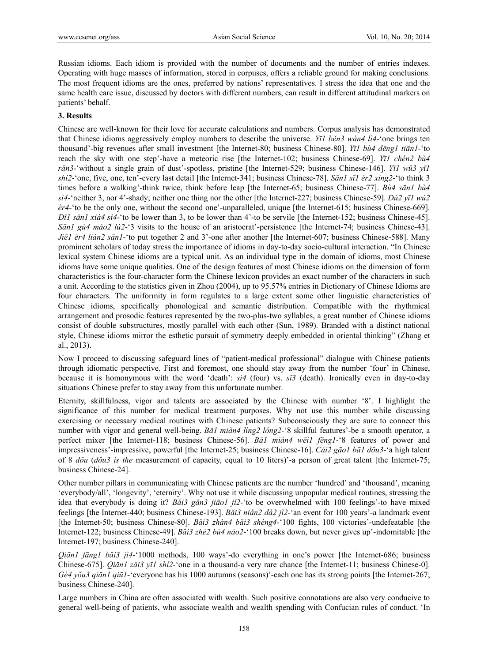Russian idioms. Each idiom is provided with the number of documents and the number of entries indexes. Operating with huge masses of information, stored in corpuses, offers a reliable ground for making conclusions. The most frequent idioms are the ones, preferred by nations' representatives. I stress the idea that one and the same health care issue, discussed by doctors with different numbers, can result in different attitudinal markers on patients' behalf.

#### **3. Results**

Chinese are well-known for their love for accurate calculations and numbers. Corpus analysis has demonstrated that Chinese idioms aggressively employ numbers to describe the universe. *Yī1 běn3 wàn4 lì4*-'one brings ten thousand'-big revenues after small investment [the Internet-80; business Chinese-80]. *Yī1 bù4 dēng1 tiān1*-'to reach the sky with one step'-have a meteoric rise [the Internet-102; business Chinese-69]. *Yī1 chén2 bù4 răn3*-'without a single grain of dust'-spotless, pristine [the Internet-529; business Chinese-146]. *Yī1 wŭ3 yī1 shí2*-'one, five, one, ten'-every last detail [the Internet-341; business Chinese-78]. *Sān1 sī1 ér2 xíng2*-'to think 3 times before a walking'-think twice, think before leap [the Internet-65; business Chinese-77]. *Bù4 sān1 bù4 sì4*-'neither 3, nor 4'-shady; neither one thing nor the other [the Internet-227; business Chinese-59]. *Dú2 yī1 wú2 èr4*-'to be the only one, without the second one'-unparalleled, unique [the Internet-615; business Chinese-669]. *Dī1 sān1 xià4 sì4*-'to be lower than 3, to be lower than 4'-to be servile [the Internet-152; business Chinese-45]. *Sān1 gù4 máo2 lú2*-'3 visits to the house of an aristocrat'-persistence [the Internet-74; business Chinese-43]. *Jiē1 èr4 lián2 sān1*-'to put together 2 and 3'-one after another [the Internet-607; business Chinese-588]. Many prominent scholars of today stress the importance of idioms in day-to-day socio-cultural interaction. "In Chinese lexical system Chinese idioms are a typical unit. As an individual type in the domain of idioms, most Chinese idioms have some unique qualities. One of the design features of most Chinese idioms on the dimension of form characteristics is the four-character form the Chinese lexicon provides an exact number of the characters in such a unit. According to the statistics given in Zhou (2004), up to 95.57% entries in Dictionary of Chinese Idioms are four characters. The uniformity in form regulates to a large extent some other linguistic characteristics of Chinese idioms, specifically phonological and semantic distribution. Compatible with the rhythmical arrangement and prosodic features represented by the two-plus-two syllables, a great number of Chinese idioms consist of double substructures, mostly parallel with each other (Sun, 1989). Branded with a distinct national style, Chinese idioms mirror the esthetic pursuit of symmetry deeply embedded in oriental thinking" (Zhang et al., 2013).

Now I proceed to discussing safeguard lines of "patient-medical professional" dialogue with Chinese patients through idiomatic perspective. First and foremost, one should stay away from the number 'four' in Chinese, because it is homonymous with the word 'death': *sì4* (four) vs. *sĭ3* (death). Ironically even in day-to-day situations Chinese prefer to stay away from this unfortunate number.

Eternity, skillfulness, vigor and talents are associated by the Chinese with number '8'. I highlight the significance of this number for medical treatment purposes. Why not use this number while discussing exercising or necessary medical routines with Chinese patients? Subconsciously they are sure to connect this number with vigor and general well-being. *Bā1 miàn4 líng2 lóng2*-'8 skillful features'-be a smooth operator, a perfect mixer [the Internet-118; business Chinese-56]. *Bā1 miàn4 wēi1 fēng1*-'8 features of power and impressiveness'-impressive, powerful [the Internet-25; business Chinese-16]. *Cái2 gāo1 bā1 dŏu3*-'a high talent of 8 *dŏu* (*dŏu3 is the* measurement of capacity, equal to 10 liters)'-a person of great talent [the Internet-75; business Chinese-24].

Other number pillars in communicating with Chinese patients are the number 'hundred' and 'thousand', meaning 'everybody/all', 'longevity', 'eternity'. Why not use it while discussing unpopular medical routines, stressing the idea that everybody is doing it? *Băi3 găn3 jiāo1 jí2*-'to be overwhelmed with 100 feelings'-to have mixed feelings [the Internet-440; business Chinese-193]. *Băi3 nián2 dà2 jì2*-'an event for 100 years'-a landmark event [the Internet-50; business Chinese-80]. *Băi3 zhàn4 băi3 shèng4-*'100 fights, 100 victories'-undefeatable [the Internet-122; business Chinese-49]. *Băi3 zhé2 bù4 náo2*-'100 breaks down, but never gives up'-indomitable [the Internet-197; business Chinese-240].

*Qiān1 fāng1 băi3 jì4*-'1000 methods, 100 ways'-do everything in one's power [the Internet-686; business Chinese-675]. *Qiān1 zăi3 yī1 shí2*-'one in a thousand-a very rare chance [the Internet-11; business Chinese-0]. *Gè4 yŏu3 qiān1 qiū1*-'everyone has his 1000 autumns (seasons)'-each one has its strong points [the Internet-267; business Chinese-240].

Large numbers in China are often associated with wealth. Such positive connotations are also very conducive to general well-being of patients, who associate wealth and wealth spending with Confucian rules of conduct. 'In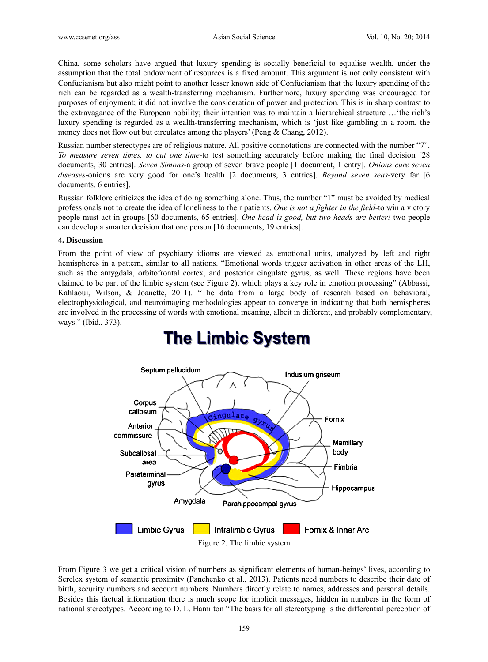China, some scholars have argued that luxury spending is socially beneficial to equalise wealth, under the assumption that the total endowment of resources is a fixed amount. This argument is not only consistent with Confucianism but also might point to another lesser known side of Confucianism that the luxury spending of the rich can be regarded as a wealth-transferring mechanism. Furthermore, luxury spending was encouraged for purposes of enjoyment; it did not involve the consideration of power and protection. This is in sharp contrast to the extravagance of the European nobility; their intention was to maintain a hierarchical structure …'the rich's luxury spending is regarded as a wealth-transferring mechanism, which is 'just like gambling in a room, the money does not flow out but circulates among the players' (Peng & Chang, 2012).

Russian number stereotypes are of religious nature. All positive connotations are connected with the number "7". *To measure seven times, to cut one time-*to test something accurately before making the final decision [28 documents, 30 entries]. *Seven Simons*-a group of seven brave people [1 document, 1 entry]. *Onions cure seven diseases*-onions are very good for one's health [2 documents, 3 entries]. *Beyond seven seas-*very far [6 documents, 6 entries].

Russian folklore criticizes the idea of doing something alone. Thus, the number "1" must be avoided by medical professionals not to create the idea of loneliness to their patients. *One is not a fighter in the field-*to win a victory people must act in groups [60 documents, 65 entries]. *One head is good, but two heads are better!-*two people can develop a smarter decision that one person [16 documents, 19 entries].

#### **4. Discussion**

From the point of view of psychiatry idioms are viewed as emotional units, analyzed by left and right hemispheres in a pattern, similar to all nations. "Emotional words trigger activation in other areas of the LH, such as the amygdala, orbitofrontal cortex, and posterior cingulate gyrus, as well. These regions have been claimed to be part of the limbic system (see Figure 2), which plays a key role in emotion processing" (Abbassi, Kahlaoui, Wilson, & Joanette, 2011). "The data from a large body of research based on behavioral, electrophysiological, and neuroimaging methodologies appear to converge in indicating that both hemispheres are involved in the processing of words with emotional meaning, albeit in different, and probably complementary, ways." (Ibid., 373).



# **The Limbic System**

From Figure 3 we get a critical vision of numbers as significant elements of human-beings' lives, according to Serelex system of semantic proximity (Panchenko et al., 2013). Patients need numbers to describe their date of birth, security numbers and account numbers. Numbers directly relate to names, addresses and personal details. Besides this factual information there is much scope for implicit messages, hidden in numbers in the form of national stereotypes. According to D. L. Hamilton "The basis for all stereotyping is the differential perception of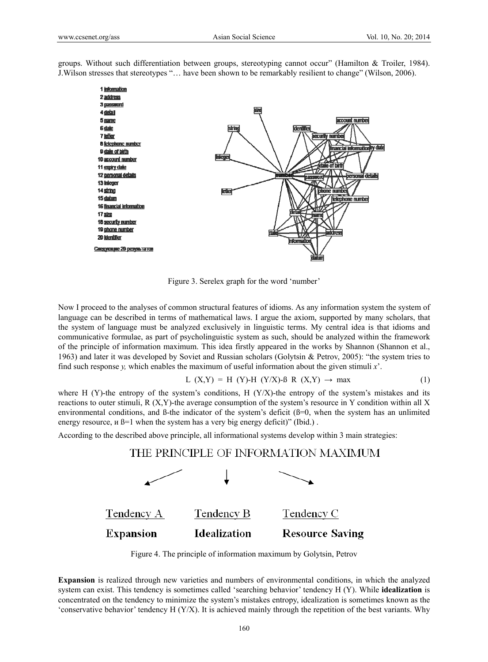groups. Without such differentiation between groups, stereotyping cannot occur" (Hamilton & Troiler, 1984). J.Wilson stresses that stereotypes "… have been shown to be remarkably resilient to change" (Wilson, 2006).



Figure 3. Serelex graph for the word 'number'

Now I proceed to the analyses of common structural features of idioms. As any information system the system of language can be described in terms of mathematical laws. I argue the axiom, supported by many scholars, that the system of language must be analyzed exclusively in linguistic terms. My central idea is that idioms and communicative formulae, as part of psycholinguistic system as such, should be analyzed within the framework of the principle of information maximum. This idea firstly appeared in the works by Shannon (Shannon et al., 1963) and later it was developed by Soviet and Russian scholars (Golytsin & Petrov, 2005): "the system tries to find such response *y*, which enables the maximum of useful information about the given stimuli  $x'$ .

$$
L (X,Y) = H (Y)-H (Y/X)-B R (X,Y) \rightarrow max
$$
 (1)

where H (Y)-the entropy of the system's conditions, H (Y/X)-the entropy of the system's mistakes and its reactions to outer stimuli, R (X,Y)-the average consumption of the system's resource in Y condition within all X environmental conditions, and  $\beta$ -the indicator of the system's deficit ( $\beta$ =0, when the system has an unlimited energy resource,  $\mu$   $\beta$ =1 when the system has a very big energy deficit)" (Ibid.).

According to the described above principle, all informational systems develop within 3 main strategies:



Figure 4. The principle of information maximum by Golytsin, Petrov

**Expansion** is realized through new varieties and numbers of environmental conditions, in which the analyzed system can exist. This tendency is sometimes called 'searching behavior' tendency H (Y). While **idealization** is concentrated on the tendency to minimize the system's mistakes entropy, idealization is sometimes known as the 'conservative behavior' tendency H  $(Y/X)$ . It is achieved mainly through the repetition of the best variants. Why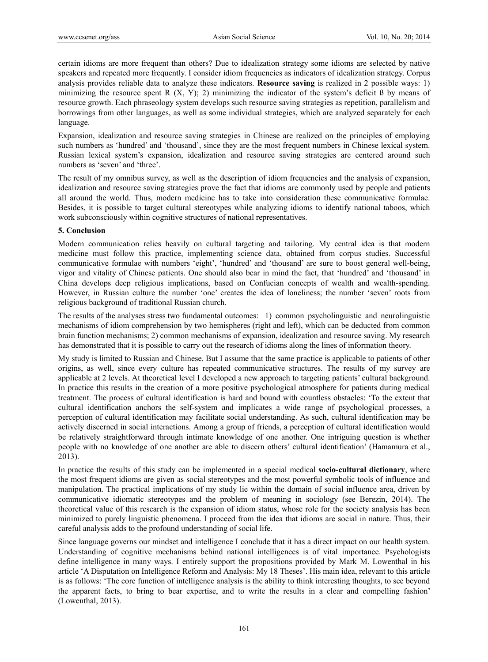certain idioms are more frequent than others? Due to idealization strategy some idioms are selected by native speakers and repeated more frequently. I consider idiom frequencies as indicators of idealization strategy. Corpus analysis provides reliable data to analyze these indicators. **Resource saving** is realized in 2 possible ways: 1) minimizing the resource spent R  $(X, Y; 2)$  minimizing the indicator of the system's deficit  $\beta$  by means of resource growth. Each phraseology system develops such resource saving strategies as repetition, parallelism and borrowings from other languages, as well as some individual strategies, which are analyzed separately for each language.

Expansion, idealization and resource saving strategies in Chinese are realized on the principles of employing such numbers as 'hundred' and 'thousand', since they are the most frequent numbers in Chinese lexical system. Russian lexical system's expansion, idealization and resource saving strategies are centered around such numbers as 'seven' and 'three'.

The result of my omnibus survey, as well as the description of idiom frequencies and the analysis of expansion, idealization and resource saving strategies prove the fact that idioms are commonly used by people and patients all around the world. Thus, modern medicine has to take into consideration these communicative formulae. Besides, it is possible to target cultural stereotypes while analyzing idioms to identify national taboos, which work subconsciously within cognitive structures of national representatives.

### **5. Conclusion**

Modern communication relies heavily on cultural targeting and tailoring. My central idea is that modern medicine must follow this practice, implementing science data, obtained from corpus studies. Successful communicative formulae with numbers 'eight', 'hundred' and 'thousand' are sure to boost general well-being, vigor and vitality of Chinese patients. One should also bear in mind the fact, that 'hundred' and 'thousand' in China develops deep religious implications, based on Confucian concepts of wealth and wealth-spending. However, in Russian culture the number 'one' creates the idea of loneliness; the number 'seven' roots from religious background of traditional Russian church.

The results of the analyses stress two fundamental outcomes: 1) common psycholinguistic and neurolinguistic mechanisms of idiom comprehension by two hemispheres (right and left), which can be deducted from common brain function mechanisms; 2) common mechanisms of expansion, idealization and resource saving. My research has demonstrated that it is possible to carry out the research of idioms along the lines of information theory.

My study is limited to Russian and Chinese. But I assume that the same practice is applicable to patients of other origins, as well, since every culture has repeated communicative structures. The results of my survey are applicable at 2 levels. At theoretical level I developed a new approach to targeting patients' cultural background. In practice this results in the creation of a more positive psychological atmosphere for patients during medical treatment. The process of cultural identification is hard and bound with countless obstacles: 'To the extent that cultural identification anchors the self-system and implicates a wide range of psychological processes, a perception of cultural identification may facilitate social understanding. As such, cultural identification may be actively discerned in social interactions. Among a group of friends, a perception of cultural identification would be relatively straightforward through intimate knowledge of one another. One intriguing question is whether people with no knowledge of one another are able to discern others' cultural identification' (Hamamura et al., 2013).

In practice the results of this study can be implemented in a special medical **socio-cultural dictionary**, where the most frequent idioms are given as social stereotypes and the most powerful symbolic tools of influence and manipulation. The practical implications of my study lie within the domain of social influence area, driven by communicative idiomatic stereotypes and the problem of meaning in sociology (see Berezin, 2014). The theoretical value of this research is the expansion of idiom status, whose role for the society analysis has been minimized to purely linguistic phenomena. I proceed from the idea that idioms are social in nature. Thus, their careful analysis adds to the profound understanding of social life.

Since language governs our mindset and intelligence I conclude that it has a direct impact on our health system. Understanding of cognitive mechanisms behind national intelligences is of vital importance. Psychologists define intelligence in many ways. I entirely support the propositions provided by Mark M. Lowenthal in his article 'A Disputation on Intelligence Reform and Analysis: My 18 Theses'. His main idea, relevant to this article is as follows: 'The core function of intelligence analysis is the ability to think interesting thoughts, to see beyond the apparent facts, to bring to bear expertise, and to write the results in a clear and compelling fashion' (Lowenthal, 2013).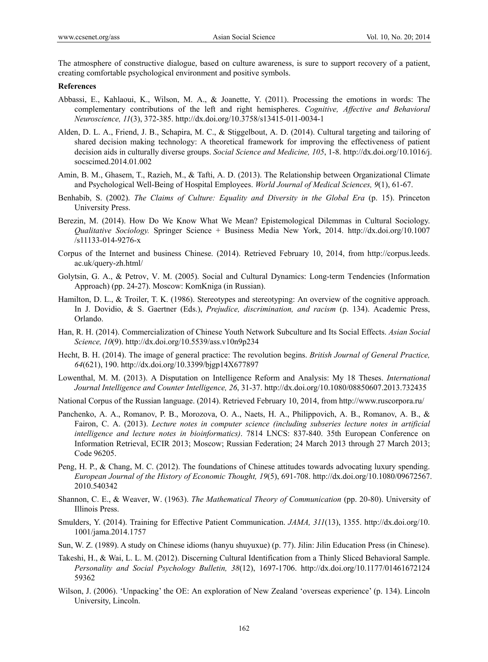The atmosphere of constructive dialogue, based on culture awareness, is sure to support recovery of a patient, creating comfortable psychological environment and positive symbols.

#### **References**

- Abbassi, E., Kahlaoui, K., Wilson, M. A., & Joanette, Y. (2011). Processing the emotions in words: The complementary contributions of the left and right hemispheres. *Cognitive, Affective and Behavioral Neuroscience, 11*(3), 372-385. http://dx.doi.org/10.3758/s13415-011-0034-1
- Alden, D. L. A., Friend, J. B., Schapira, M. C., & Stiggelbout, A. D. (2014). Cultural targeting and tailoring of shared decision making technology: A theoretical framework for improving the effectiveness of patient decision aids in culturally diverse groups. *Social Science and Medicine, 105*, 1-8. http://dx.doi.org/10.1016/j. socscimed.2014.01.002
- Amin, B. M., Ghasem, T., Razieh, M., & Tafti, A. D. (2013). The Relationship between Organizational Climate and Psychological Well-Being of Hospital Employees. *World Journal of Medical Sciences, 9*(1), 61-67.
- Benhabib, S. (2002). *The Claims of Culture: Equality and Diversity in the Global Era* (p. 15). Princeton University Press.
- Berezin, M. (2014). How Do We Know What We Mean? Epistemological Dilemmas in Cultural Sociology. *Qualitative Sociology.* Springer Science + Business Media New York, 2014. http://dx.doi.org/10.1007 /s11133-014-9276-x
- Corpus of the Internet and business Chinese. (2014). Retrieved February 10, 2014, from http://corpus.leeds. ac.uk/query-zh.html/
- Golytsin, G. A., & Petrov, V. M. (2005). Social and Cultural Dynamics: Long-term Tendencies (Information Approach) (pp. 24-27). Moscow: KomKniga (in Russian).
- Hamilton, D. L., & Troiler, T. K. (1986). Stereotypes and stereotyping: An overview of the cognitive approach. In J. Dovidio, & S. Gaertner (Eds.), *Prejudice, discrimination, and racism* (p. 134). Academic Press, Orlando.
- Han, R. H. (2014). Commercialization of Chinese Youth Network Subculture and Its Social Effects. *Asian Social Science, 10*(9). http://dx.doi.org/10.5539/ass.v10n9p234
- Hecht, B. H. (2014). The image of general practice: The revolution begins. *British Journal of General Practice, 64*(621), 190. http://dx.doi.org/10.3399/bjgp14X677897
- Lowenthal, M. M. (2013). A Disputation on Intelligence Reform and Analysis: My 18 Theses. *International Journal Intelligence and Counter Intelligence, 26*, 31-37. http://dx.doi.org/10.1080/08850607.2013.732435
- National Corpus of the Russian language. (2014). Retrieved February 10, 2014, from http://www.ruscorpora.ru/
- Panchenko, A. A., Romanov, P. B., Morozova, O. A., Naets, H. A., Philippovich, A. B., Romanov, A. B., & Fairon, C. A. (2013). *Lecture notes in computer science (including subseries lecture notes in artificial intelligence and lecture notes in bioinformatics)*. 7814 LNCS: 837-840. 35th European Conference on Information Retrieval, ECIR 2013; Moscow; Russian Federation; 24 March 2013 through 27 March 2013; Code 96205.
- Peng, H. P., & Chang, M. C. (2012). The foundations of Chinese attitudes towards advocating luxury spending. *European Journal of the History of Economic Thought, 19*(5), 691-708. http://dx.doi.org/10.1080/09672567. 2010.540342
- Shannon, C. E., & Weaver, W. (1963). *The Mathematical Theory of Communication* (pp. 20-80). University of Illinois Press.
- Smulders, Y. (2014). Training for Effective Patient Communication. *JAMA, 311*(13), 1355. http://dx.doi.org/10. 1001/jama.2014.1757
- Sun, W. Z. (1989). A study on Chinese idioms (hanyu shuyuxue) (p. 77). Jilin: Jilin Education Press (in Chinese).
- Takeshi, H., & Wai, L. L. M. (2012). Discerning Cultural Identification from a Thinly Sliced Behavioral Sample. *Personality and Social Psychology Bulletin, 38*(12), 1697-1706. http://dx.doi.org/10.1177/01461672124 59362
- Wilson, J. (2006). 'Unpacking' the OE: An exploration of New Zealand 'overseas experience' (p. 134). Lincoln University, Lincoln.